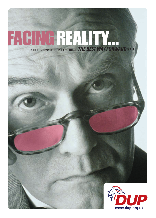# A TRUTHFUL ASSESSMENT : THE POLICY CONTEXT :*THE BEST WAY FORWARD>>>* FACINGREALITY...

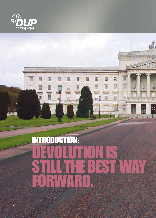



謂

**THIS** 

噩

H

昍

丽

⊞

R

面

m

H

H

H

AKIDAMA

W

B

湖

H

E

噩

 $=$ 

圖

噩

m

k.

W

T

 $\overline{a}$ 

圈

冨

画

the is

1111111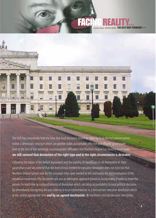## THE **BEST WAY FORWARD>>> FACINGREA**



The DUP has consistently held the view that local decisions should be taken by local elected representatives within a democratic structure which can provide stable, accountable, effective and efficient government. Even in the face of the seemingly insurmountable difficulties that Northern Ireland has faced in recent years **we still contend that devolution of the right type and in the right circumstances is desirable.**

Following the failure of the Belfast Agreement and the inability of republicans to rid themselves of their paramilitary past we contend that the level of trust needed for executive devolution does not exist but that Northern Ireland cannot wait for the uncertain time-span needed to test and assess the democratisation of the republican movement.This document sets out an alternative approach. Based on facing reality, it seeks to move the process forward now by a phased process of devolution which can bring accountability to local political decisions by immediately transferring decision making to local representatives in a form of non-executive devolution which at the earliest appropriate time **and by an agreed mechanism** can transform into full executive devolution.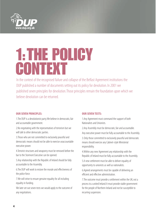

# 1:THE POLICY CONTEXT

In the context of the recognised failure and collapse of the Belfast Agreement institutions the DUP published a number of documents setting out its policy for devolution. In 2001 we published seven principles for devolution.Those principles remain the foundation upon which we believe devolution can be returned.

## **OUR SEVEN PRINCIPLES:**

1.The DUP is a devolutionist party.We believe in democratic, fair and accountable government.

2.No negotiating with the representatives of terrorism but we will talk to other democratic parties.

3.Those who are not committed to exclusively peaceful and democratic means should not be able to exercise unaccountable executive power.

4.Terrorist structures and weaponry must be removed before the bar to the Stormont Executive can be opened.

5.Any relationship with the Republic of Ireland should be fully accountable to the Assembly.

6.The DUP will work to restore the morale and effectiveness of the police force.

7.We will strive to ensure genuine equality for all including equality in funding.

We later set out seven tests we would apply to the outcome of any negotiations.

### **OUR SEVEN TESTS:**

1.Any Agreement must command the support of both Nationalists and Unionists.

2.Any Assembly must be democratic, fair and accountable.

Any executive power must be fully accountable to the Assembly.

3. Only those committed to exclusively peaceful and democratic means should exercise any Cabinet-style Ministerial responsibility.

4.Within any new Agreement any relationship with the Republic of Ireland must be fully accountable to the Assembly.

5.A new settlement must be able to deliver equality of opportunity to unionists as well as nationalists.

6.Agreed arrangements must be capable of delivering an efficient and effective administration.

7.The outcome must provide a settlement within the UK, not a process to a united Ireland. It must provide stable government for the people of Northern Ireland and not be susceptible to recurring suspension.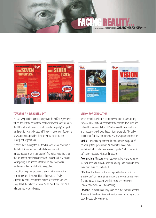## FACING REALITY...

THE BEST WAY FORWARD>>>









#### **TOWARDS A NEW AGREEMENT:**

In 2003 we provided a critical analysis of the Belfast Agreement which detailed the areas of the deal which were unacceptable to the DUP and would have to be addressed if the party's support for devolution was to be secured.The policy document 'Towards a New Agreement', provided the DUP with a "to do list" for subsequent negotiations.

In particular it highlighted the totally unacceptable provision in the Belfast Agreement which had allowed terrorist representatives to sit in the "cabinet". The policy paper indicated that an unaccountable Executive with unaccountable Ministers participating in an unaccountable all-Ireland body was a fundamental flaw which had to be rectified.

In addition the paper proposed changes in the manner the committees and the Assembly itself operated. Finally it advocated a better deal for the victims of terrorism and also judged that the balance between North-South and East-West relations had to be redressed.

#### **VISION FOR DEVOLUTION:**

When we published our 'Vision for Devolution' in 2003 during the Assembly election it committed the party to devolution and defined the ingredients the DUP determined to be essential in any structures which would result from future talks.The policy paper listed four key components. Any new agreement must be –

**Stable:**The Belfast Agreement did not and was incapable of delivering stable government. An alternative needs to be established which takes cognisance of parties' behaviour but is sufficiently robust to withstand pressure.

**Accountable:** Ministers were not accountable to the Assembly for their decisions. A mechanism for holding individual Ministers to account must be established.

**Effective:** The Agreement failed to provide clear direction or effective decision making thus making the process cumbersome. The alternative is a system which is responsive removing unnecessary levels in decision making.

**Efficient:** Political bureaucracy spiralled out of control under the Agreement.The alternative must provide value for money and cut back the costs of government.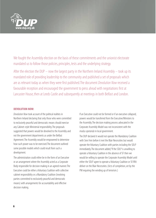

We fought the Assembly election on the basis of these commitments and the unionist electorate mandated us to follow those policies, principles, tests and the underlying strategy.

After the election the DUP – now the largest party in the Northern Ireland Assembly – took up its mandated role of providing leadership to the community and published a set of proposals which are as relevant today as when they were first published. The document Devolution Now received a favourable reception and encouraged the government to press ahead with negotiations first at Lancaster House, then at Leeds Castle and subsequently at meetings in both Belfast and London.

## **DEVOLUTION NOW:**

Devolution Now took account of the political realities in Northern Ireland declaring that only those who were committed to exclusively peaceful and democratic means should exercise any Cabinet-style Ministerial responsibility.The proposals suggested that powers would be devolved to the Assembly and not the government departments as under the Belfast Agreement.The Assembly would be empowered to determine how such power was to be exercised.The document outlined some possible models which could result from such a development.

The administration could either be in the form of an Executive or an arrangement where the Assembly acted as a Corporate Body responsible for decision making in an agreed manner.The Executive could be either a Voluntary Coalition with collective cabinet responsibility or a Mandatory Coalition (involving parties committed to exclusively peaceful and democratic means) with arrangements for accountability and effective decision making.

If an Executive could not be formed or if an executive collapsed, powers would be transferred from the Executive/Ministers to the Assembly.The decision making process advocated in the Corporate Assembly Model was not inconsistent with the modus operanda in local government.

The DUP declared it would not operate the Mandatory Coalition with Sinn Fein before it met the Blair Necessities but would operate the Voluntary Coalition with parties including the SDLP immediately.The document added,"If the SDLP is unwilling to operate a Voluntary Coalition in the absence of SF then we would be willing to operate the Corporate Assembly Model until either the SDLP agree to operate a Voluntary Coalition or SF/IRA deliver on the Blair Necessities. (Acts of completion, set by the PM requiring the winding up of terrorism.)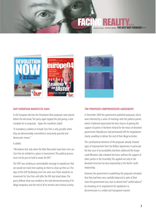## FACING REALITY...

A TRUTHFUL ASSESSMENT : THE POLICY CONTEXT :*THE BEST WAY FORWARD>>>*



## **DUP EUROPEAN MANIFESTO 2004:**

In the European election the Devolution Now proposals were placed before the electorate.The party again topped the poll giving a clear mandate for its proposals. Again the manifesto stated:

"A mandatory coalition to include Sinn Fein is only possible when they are demonstrably committed to exclusively peaceful and democratic means."

## It added:

"We believe that only when the Blair Necessities have been met can Sinn Fein be entitled to a place in Government.The political process must not be put on hold to await the IRA."

The DUP was sending an unmistakable message to republicans that we would not mark time waiting on them to clean up their act.The days of the UUP facilitating Sinn Fein were over.There would be no movement for Sinn Fein until after the IRA had stood down.The party defined what was needed as the total decommissioning of its illegal weaponry and the end of all its terrorist and criminal activity.



## **THE PROPOSED COMPREHENSIVE AGREEMENT:**

In December 2004 the government published proposals, which were informed by a series of meetings with the political parties which it believed represented the best chance of gaining the support of parties in Northern Ireland for the return of devolved government. Republicans had prematurely left the negotiations clearly unwilling to deliver the end of their illegal activities.

The constitutional elements of the proposals already showed signs of improvement from the Belfast Agreement. In particular the key issue of accountability had been addressed. No longer could Ministers take unilateral decisions without the support of other parties in the Assembly.This applied not only to the devolved structure but also, importantly, to the North-South relationship.

However, the government in publishing the proposals remarked that they had been very carefully balanced. In spite of their claim the government was soon to disturb that "careful balance" by retreating on its requirement for republicans to decommission in a visible and transparent manner.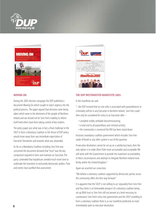



#### **MOVING ON:**

During the 2005 election campaign the DUP published a document Moving On which sought to inject urgency into the political process. The paper argued that decisions were being taken which were to the detriment of the people of Northern Ireland and we should not let Sinn Fein's inability to reform itself hold others back from taking control of key matters.

The policy paper put, what was in fact, a final challenge to the SDLP to form a Voluntary Coalition or the thrust of DUP policy would move away from any immediate expectation of Executive Devolution and towards what was attainable.

As far as a Mandatory Coalition including Sinn Fein was concerned the document declared that "trust" was the key component required to form and maintain an Executive.The party contended that republicans needed much more time to undertake the transition to exclusively democratic politics.Time and events have justified that assessment.



#### **THE DUP WESTMINSTER MANIFESTO 2005:**

In the manifesto we said:

"...the DUP insisted that no-one who is associated with paramilitarism or criminality will be in any Executive in Northern Ireland. Sinn Fein could then only be considered for entry to an Executive after –

- complete visible, verifiable decommissioning;
- a total end to all paramilitary and criminal activity;
- the community is convinced the IRA has been stood down.

Inclusive, mandatory coalition government which includes Sinn Fein under d'Hondt or any other system is out of the question.

If executive devolution cannot be set up on a satisfactory basis, then the only option is to make Direct Rule more accountable and acceptable.We will work with the Government to provide the maximum accountability in these circumstances and attempt to integrate Northern Ireland more firmly within the United Kingdom."

Again we asserted our conviction:

"We believe a voluntary coalition supported by democratic parties across the community offers the best way forward."

It is apparent that the SDLP is not willing to act separately from Sinn Fein and thus there is no foreseeable prospect of a voluntary coalition being set up.With trust in Sinn Fein still not present at a level necessary to countenance Sinn Fein's entry into government and the SDLP unwilling to form a voluntary coalition there is, as our manifesto predicted, no route immediately open to executive devolution.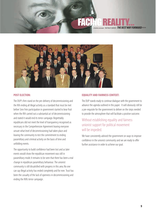## THE BEST WAY FORWARD>>> FAC



## **POST ELECTION:**

The DUP's firm stand on the pre-delivery of decommissioning and the IRA ending all illegal activity as a standard that must be met before Sinn Fein participation in government started to bear fruit when the IRA carried out a substantial act of decommissioning and stated it would end its terror campaign. Regrettably republicans did not meet the level of transparency recognised as necessary in the Comprehensive Agreement leaving everyone unsure what level of decommissioning had taken place and leaving the community to test the commitment to ending paramilitary and criminal activity on the basis of time and unfolding events.

The opportunity to build confidence had been lost and as later events would show the republican movement was still in paramilitary mode. It remains to be seen that there has been a real change in republican paramilitary behaviour. The unionist community is still dissatisfied with progress in this area. No one can say illegal activity has ended completely and for ever. Trust has been the casualty of the lack of openness in decommissioning and ending the IRA's terror campaign.

## **EQUALITY AND FAIRNESS CONTEXT:**

The DUP stands ready to continue dialogue with the government to advance the agenda outlined in this paper. It will obviously still be a pre-requisite for the government to deliver on the steps needed to provide the atmosphere that will facilitate a positive outcome.

## Without establishing equality and fairness unionist support for political movement will be impeded.

We have consistently advised the government on ways to improve confidence in the unionist community and we are ready to offer further assistance in order to achieve our goal.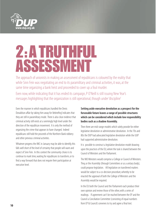

# 2:A TRUTHFUL ASSESSMENT

The approach of unionists in making an assessment of republicans is coloured by the reality that while Sinn Fein was negotiating an end to its paramilitary and criminal activities, it was, at the same time organizing a bank heist and proceeded to cover up a foul murder.

Even now, while indicating that it has ended its campaign, P O'Neill is still issuing New Year's messages highlighting that the organization is still operational, though under 'discipline'

Even the manner in which republicans handled the Denis Donaldson affair by taking him away for 'debriefing' indicates that they are still in paramilitary mode. There is also clear evidence that criminal activity still exists at a seemingly high level under the direction of the republican movement. It is only the method of organizing the crime that appears to have changed. Indeed republicans still hold the proceeds of the Northern Bank robbery and other previous criminal activities.

Whatever progress the IMC in January may be able to identify, this falls well short of the level of certainty that people will want and expect of Sinn Fein. In this context the community choice is to continue to mark time, waiting for republicans to transform, or to find a way forward that does not require their participation at executive level.

**Setting aside executive devolution as a prospect for the forseeable future leaves a range of possible structures which can be considered which include low responsibility bodies such as a shadow Assembly.**

Then there are mid-range models which solely provide for either legislative devolution or administrative devolution. In the 70s and 80s the DUP had advocated legislative devolution while the UUP had supported administrative devolution.

It is possible to construct a legislative devolution model drawing upon the practices of the EU, where the task is shared between the Council of Ministers and the Parliament.

The NIO Ministers would comprise a College or Council of Ministers. They, or the Assembly (through Committees or as a unitary body), could propose legislation. All legislation on transferred matters would be subject to a co-decision procedure, whereby to be enacted the approval of both the College of Ministers and the Assembly would be required.

In the EU both the Council and the Parliament each produce their own opinion and review those of the other, with a series of readings. If agreement can't be reached between the EP and the Council a Conciliation Committee (consisting of equal numbers from EP & Council) convenes to try and agree a final text.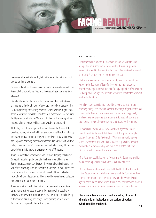## FACING REALITY...

A TRUTHFUL ASSESSMENT : THE POLICY CONTEXT :*THE BEST WAY FORWARD>>>*

In essence a horse-trade results, before the legislation returns to both bodies for final enactment.

On reserved matters the case could be made for consultation with the Assembly, if that could be fitted into the Westminster parliamentary processes.

Since legislative devolution was last considered the constitutional arrangements in the UK have softened up. Indeed the Leader of the House is presently considering proposals whereby MEPs might sit on some committees with MPs. It is therefore conceivable that the same facility could be afforded to Members of a Regional Assembly when matters relating to reserved legislation was being processed

At the high end there are possibilities which give the Assembly full devolved power, not exercised by an executive or cabinet but rather by the Assembly as a corporate body. An example of such a structure is the Corporate Assembly model which featured in our Devolution Now policy document.The SDLP proposed a model which sought to appoint outside Commissioners to undertake the role of Ministers.

There are variants of both themes and even overlapping possibilities. One such model might be to make the Departmental Permanent Secretaries responsible as officers of the Assembly and subject to the will of the Assembly in much the same manner as Council Officers are responsible to their District Council while each of them still acts as head of their own department. They would however have a collective role to ensure joined-up government.

There is even the possibility of introducing progressive devolution using elements from several options. For example, it is possible to devise a scheme which commences with a low-range model offering a deliberative Assembly and progressively grafting on to it other functions and responsibilities as trust grows.

In such a model -

• Parliament could amend the Northern Ireland Act 2000 to allow for a partial un-suspension of the Assembly. This un-suspension would not extend to the Executive functions of devolution but would permit the Assembly and its committees to meet.

• In these arrangements Executive authority would continue to be vested in the Secretary of State for Northern Ireland although a procedure analogous to that provided for in paragraph 6 of Annex B of the Comprehensive Agreement could permit requests for the review of Ministerial decisions.

• At a later stage consideration could be given to permitting the Assembly to legislate. It would have the advantage of giving some real power to the Assembly and encouraging a responsible approach, while not altering the current arrangements for Westminster in the short term. It would also encourage the parties to work together.

• It may also be desirable for the Assembly to agree the Budget though clearly in the event that it could not, the option of simply passing it through Order in Council at Westminster would be open to the Government. This would encourage a responsible approach by members of the Assembly and would prevent the culture of criticism which comes with a lack of power.

• The Assembly could also pass a Programme for Government which would act as a powerful direction to Direct Rule Ministers.

• Assembly committees would be established to shadow the work of the Departments and Ministers could attend the Committees from time to time. It would be expected that where the Assembly could agree a particular course of action it would be a consideration which a Minister would wish to take into account when making a decision.

**The possibilities are endless and our listing of some of them is only an indication of the variety of options which could be employed.**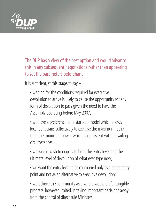

The DUP has a view of the best option and would advance this in any subsequent negotiations rather than appearing to set the parameters beforehand.

It is sufficient, at this stage, to say  $-$ 

• waiting for the conditions required for executive devolution to arrive is likely to cause the opportunity for any form of devolution to pass given the need to have the Assembly operating before May 2007;

• we have a preference for a start-up model which allows local politicians collectively to exercise the maximum rather than the minimum power which is consistent with prevailing circumstances;

• we would wish to negotiate both the entry level and the ultimate level of devolution of what ever type now;

• we want the entry level to be considered only as a preparatory point and not as an alternative to executive devolution;

• we believe the community as a whole would prefer tangible progress, however limited, in taking important decisions away from the control of direct rule Ministers.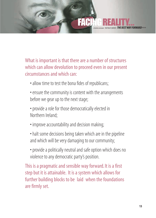## A TRUTHFUL ASSESSMENT : THE POLICY CONTEXT :*THE BEST WAY FORWARD>>>* FACI

What is important is that there are a number of structures which can allow devolution to proceed even in our present circumstances and which can:

- allow time to test the bona fides of republicans;
- ensure the community is content with the arrangements before we gear up to the next stage;
- provide a role for those democratically elected in Northern Ireland;
- improve accountability and decision making;
- halt some decisions being taken which are in the pipeline and which will be very damaging to our community;
- provide a politically neutral and safe option which does no violence to any democratic party's position.

This is a pragmatic and sensible way forward. It is a first step but it is attainable. It is a system which allows for further building blocks to be laid when the foundations are firmly set.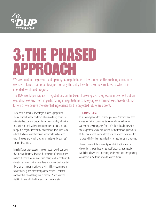

# 3:THE PHASED APPROACH

We see merit in the government opening up negotiations in the context of the enabling environment we have referred to, in order to agree not only the entry level but also the structures to which it is intended we should progress.

The DUP would participate in negotiations on the basis of seeking such progressive movement but we would not see any merit in participating in negotiations to solely agree a form of executive devolution for which we believe the essential ingredients, for the projected future, are absent.

There are a number of advantages in such a proposition. The agreement on the next level allows certainty about the ultimate direction and destination of the Assembly when the trust exists to the level required to progress to that structure. Our part in negotiations for the final form of devolution to be adopted when circumstances are appropriate will depend upon the extent to which progress is made on the 'start-up' form of devolution.

Equally if, after the elevation, an event occurs which damages that trust and thereby destroys the cohesion of the executive making it impossible for a coalition, of any kind, to continue, the elevator can return to the lower level and lessen the impact of the crisis on the community who will still have continuity in service delivery and consistent policy direction – only the method of decision taking would change. When political stability is re-established the elevator can rise again.

## **THE LONG TERM:**

In many ways both the Belfast Agreement Assembly and that envisaged in the government's proposed Comprehensive Agreement are emergency forms of enforced coalition which in the longer term would not provide the best form of government. Parties might wish to consider structures beyond those needed to cope with Northern Ireland's short to medium term problems.

The advantage of the Phased Approach is that the form of devolution can continue to rise but if circumstances require it can fall to a lower level providing a safety net and strengthening confidence in Northern Ireland's political future.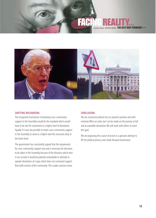## THE BEST WAY FORWARD>>> FACING REALITY...



#### **SHIFTING MECHANISM:**

The recognised mechanism of attaining cross-community support in the Assembly would be the standard which would have to be met for movement to a higher level of devolution. Equally if it was not possible to retain cross-community support in the Assembly to work at a higher level the structures drop to the lower level.

The government has consistently argued that the requirement for cross-community support was and is necessary for decisions to be taken in the Assembly because of the divisions which exist in our society. It would be patently unworkable to attempt to operate devolution of a type which does not command support from both sections of the community. This is plain common sense.

## **CONCLUSION:**

We are convinced, without loss to anyone's position and with minimal effort, an early start can be made on the journey to full and accountable devolution.We will work with others to reach this goal.

We are proposing this course of action in a genuine attempt to lift the political process and create forward momentum.